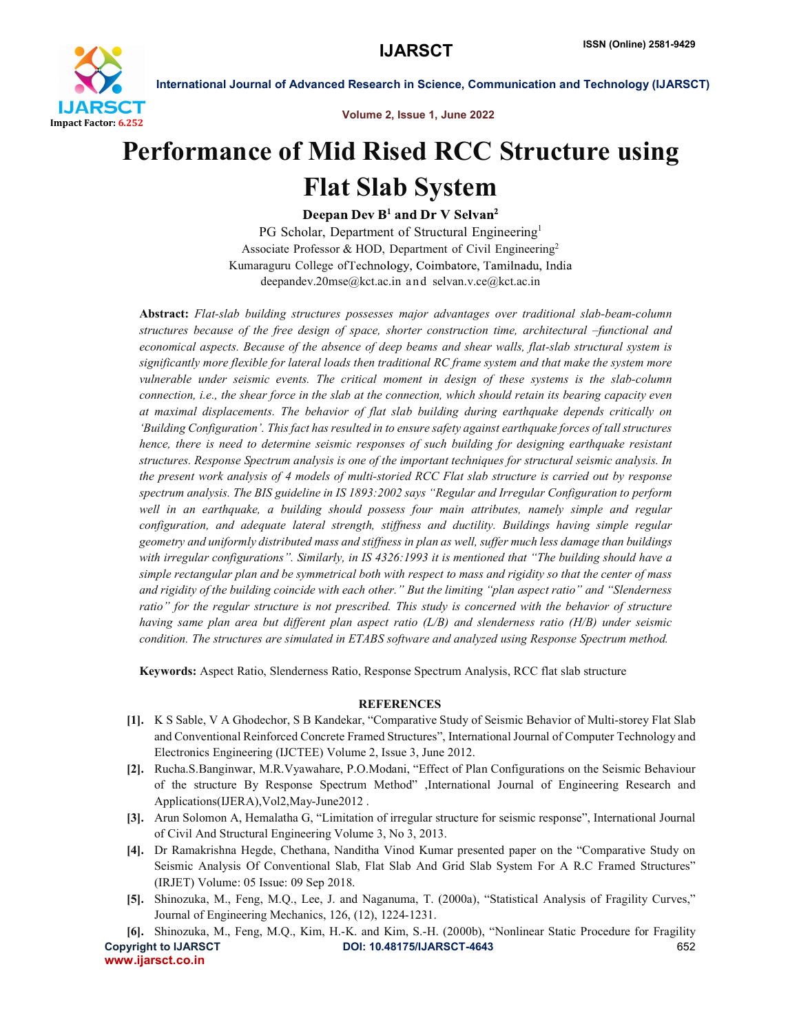

International Journal of Advanced Research in Science, Communication and Technology (IJARSCT)

Volume 2, Issue 1, June 2022

## Performance of Mid Rised RCC Structure using Flat Slab System

Deepan Dev B<sup>1</sup> and Dr V Selvan<sup>2</sup>

PG Scholar, Department of Structural Engineering<sup>1</sup> Associate Professor & HOD, Department of Civil Engineering<sup>2</sup> Kumaraguru College of Technology, Coimbatore, Tamilnadu, India deepandev.20mse@kct.ac.in and selvan.v.ce@kct.ac.in

Abstract: *Flat-slab building structures possesses major advantages over traditional slab-beam-column structures because of the free design of space, shorter construction time, architectural –functional and economical aspects. Because of the absence of deep beams and shear walls, flat-slab structural system is significantly more flexible for lateral loads then traditional RC frame system and that make the system more vulnerable under seismic events. The critical moment in design of these systems is the slab-column connection, i.e., the shear force in the slab at the connection, which should retain its bearing capacity even at maximal displacements. The behavior of flat slab building during earthquake depends critically on 'Building Configuration'. This fact has resulted in to ensure safety against earthquake forces of tall structures hence, there is need to determine seismic responses of such building for designing earthquake resistant structures. Response Spectrum analysis is one of the important techniques for structural seismic analysis. In the present work analysis of 4 models of multi-storied RCC Flat slab structure is carried out by response spectrum analysis. The BIS guideline in IS 1893:2002 says "Regular and Irregular Configuration to perform well in an earthquake, a building should possess four main attributes, namely simple and regular configuration, and adequate lateral strength, stiffness and ductility. Buildings having simple regular geometry and uniformly distributed mass and stiffness in plan as well, suffer much less damage than buildings*  with irregular configurations". Similarly, in IS 4326:1993 it is mentioned that "The building should have a *simple rectangular plan and be symmetrical both with respect to mass and rigidity so that the center of mass and rigidity of the building coincide with each other." But the limiting "plan aspect ratio" and "Slenderness ratio" for the regular structure is not prescribed. This study is concerned with the behavior of structure having same plan area but different plan aspect ratio (L/B) and slenderness ratio (H/B) under seismic condition. The structures are simulated in ETABS software and analyzed using Response Spectrum method.*

Keywords: Aspect Ratio, Slenderness Ratio, Response Spectrum Analysis, RCC flat slab structure

## **REFERENCES**

- [1]. K S Sable, V A Ghodechor, S B Kandekar, "Comparative Study of Seismic Behavior of Multi-storey Flat Slab and Conventional Reinforced Concrete Framed Structures", International Journal of Computer Technology and Electronics Engineering (IJCTEE) Volume 2, Issue 3, June 2012.
- [2]. Rucha.S.Banginwar, M.R.Vyawahare, P.O.Modani, "Effect of Plan Configurations on the Seismic Behaviour of the structure By Response Spectrum Method" ,International Journal of Engineering Research and Applications(IJERA),Vol2,May-June2012 .
- [3]. Arun Solomon A, Hemalatha G, "Limitation of irregular structure for seismic response", International Journal of Civil And Structural Engineering Volume 3, No 3, 2013.
- [4]. Dr Ramakrishna Hegde, Chethana, Nanditha Vinod Kumar presented paper on the "Comparative Study on Seismic Analysis Of Conventional Slab, Flat Slab And Grid Slab System For A R.C Framed Structures" (IRJET) Volume: 05 Issue: 09 Sep 2018.
- [5]. Shinozuka, M., Feng, M.Q., Lee, J. and Naganuma, T. (2000a), "Statistical Analysis of Fragility Curves," Journal of Engineering Mechanics, 126, (12), 1224-1231.
- Copyright to IJARSCT DOI: 10.48175/IJARSCT-4643 652 www.ijarsct.co.in [6]. Shinozuka, M., Feng, M.Q., Kim, H.-K. and Kim, S.-H. (2000b), "Nonlinear Static Procedure for Fragility